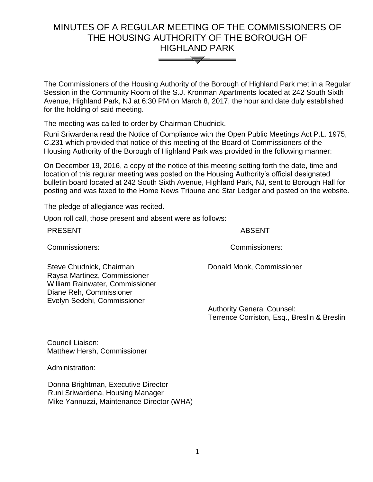# MINUTES OF A REGULAR MEETING OF THE COMMISSIONERS OF THE HOUSING AUTHORITY OF THE BOROUGH OF HIGHLAND PARK



The Commissioners of the Housing Authority of the Borough of Highland Park met in a Regular Session in the Community Room of the S.J. Kronman Apartments located at 242 South Sixth Avenue, Highland Park, NJ at 6:30 PM on March 8, 2017, the hour and date duly established for the holding of said meeting.

The meeting was called to order by Chairman Chudnick.

Runi Sriwardena read the Notice of Compliance with the Open Public Meetings Act P.L. 1975, C.231 which provided that notice of this meeting of the Board of Commissioners of the Housing Authority of the Borough of Highland Park was provided in the following manner:

On December 19, 2016, a copy of the notice of this meeting setting forth the date, time and location of this regular meeting was posted on the Housing Authority's official designated bulletin board located at 242 South Sixth Avenue, Highland Park, NJ, sent to Borough Hall for posting and was faxed to the Home News Tribune and Star Ledger and posted on the website.

The pledge of allegiance was recited.

Upon roll call, those present and absent were as follows:

#### PRESENT ABSENT

Commissioners: Commissioners:

Steve Chudnick, Chairman Raysa Martinez, Commissioner William Rainwater, Commissioner Donald Monk, Commissioner

> Authority General Counsel: Terrence Corriston, Esq., Breslin & Breslin

Council Liaison: Matthew Hersh, Commissioner

Diane Reh, Commissioner Evelyn Sedehi, Commissioner

Administration:

 Donna Brightman, Executive Director Runi Sriwardena, Housing Manager Mike Yannuzzi, Maintenance Director (WHA)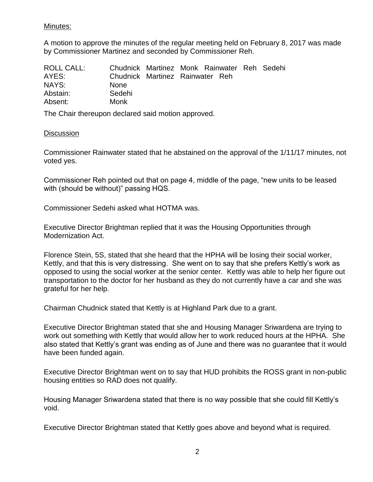# Minutes:

A motion to approve the minutes of the regular meeting held on February 8, 2017 was made by Commissioner Martinez and seconded by Commissioner Reh.

| ROLL CALL: |                                 |  | Chudnick Martinez Monk Rainwater Reh Sedehi |  |
|------------|---------------------------------|--|---------------------------------------------|--|
| AYES:      | Chudnick Martinez Rainwater Reh |  |                                             |  |
| NAYS:      | <b>None</b>                     |  |                                             |  |
| Abstain:   | Sedehi                          |  |                                             |  |
| Absent:    | Monk                            |  |                                             |  |

The Chair thereupon declared said motion approved.

## **Discussion**

Commissioner Rainwater stated that he abstained on the approval of the 1/11/17 minutes, not voted yes.

Commissioner Reh pointed out that on page 4, middle of the page, "new units to be leased with (should be without)" passing HQS.

Commissioner Sedehi asked what HOTMA was.

Executive Director Brightman replied that it was the Housing Opportunities through Modernization Act.

Florence Stein, 5S, stated that she heard that the HPHA will be losing their social worker, Kettly, and that this is very distressing. She went on to say that she prefers Kettly's work as opposed to using the social worker at the senior center. Kettly was able to help her figure out transportation to the doctor for her husband as they do not currently have a car and she was grateful for her help.

Chairman Chudnick stated that Kettly is at Highland Park due to a grant.

Executive Director Brightman stated that she and Housing Manager Sriwardena are trying to work out something with Kettly that would allow her to work reduced hours at the HPHA. She also stated that Kettly's grant was ending as of June and there was no guarantee that it would have been funded again.

Executive Director Brightman went on to say that HUD prohibits the ROSS grant in non-public housing entities so RAD does not qualify.

Housing Manager Sriwardena stated that there is no way possible that she could fill Kettly's void.

Executive Director Brightman stated that Kettly goes above and beyond what is required.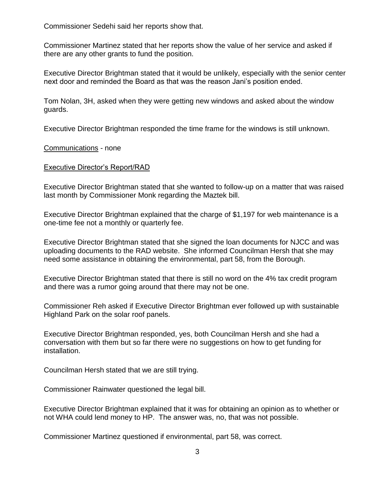Commissioner Sedehi said her reports show that.

Commissioner Martinez stated that her reports show the value of her service and asked if there are any other grants to fund the position.

Executive Director Brightman stated that it would be unlikely, especially with the senior center next door and reminded the Board as that was the reason Jani's position ended.

Tom Nolan, 3H, asked when they were getting new windows and asked about the window guards.

Executive Director Brightman responded the time frame for the windows is still unknown.

Communications - none

## Executive Director's Report/RAD

Executive Director Brightman stated that she wanted to follow-up on a matter that was raised last month by Commissioner Monk regarding the Maztek bill.

Executive Director Brightman explained that the charge of \$1,197 for web maintenance is a one-time fee not a monthly or quarterly fee.

Executive Director Brightman stated that she signed the loan documents for NJCC and was uploading documents to the RAD website. She informed Councilman Hersh that she may need some assistance in obtaining the environmental, part 58, from the Borough.

Executive Director Brightman stated that there is still no word on the 4% tax credit program and there was a rumor going around that there may not be one.

Commissioner Reh asked if Executive Director Brightman ever followed up with sustainable Highland Park on the solar roof panels.

Executive Director Brightman responded, yes, both Councilman Hersh and she had a conversation with them but so far there were no suggestions on how to get funding for installation.

Councilman Hersh stated that we are still trying.

Commissioner Rainwater questioned the legal bill.

Executive Director Brightman explained that it was for obtaining an opinion as to whether or not WHA could lend money to HP. The answer was, no, that was not possible.

Commissioner Martinez questioned if environmental, part 58, was correct.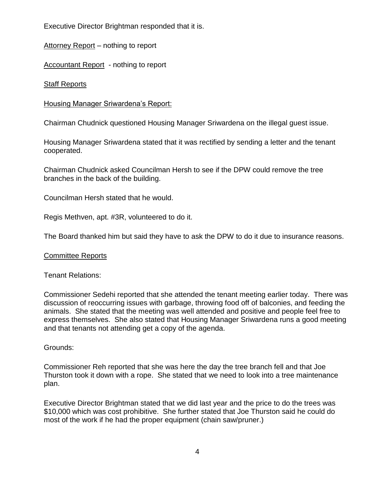Executive Director Brightman responded that it is.

Attorney Report – nothing to report

Accountant Report - nothing to report

Staff Reports

Housing Manager Sriwardena's Report:

Chairman Chudnick questioned Housing Manager Sriwardena on the illegal guest issue.

Housing Manager Sriwardena stated that it was rectified by sending a letter and the tenant cooperated.

Chairman Chudnick asked Councilman Hersh to see if the DPW could remove the tree branches in the back of the building.

Councilman Hersh stated that he would.

Regis Methven, apt. #3R, volunteered to do it.

The Board thanked him but said they have to ask the DPW to do it due to insurance reasons.

# Committee Reports

Tenant Relations:

Commissioner Sedehi reported that she attended the tenant meeting earlier today. There was discussion of reoccurring issues with garbage, throwing food off of balconies, and feeding the animals. She stated that the meeting was well attended and positive and people feel free to express themselves. She also stated that Housing Manager Sriwardena runs a good meeting and that tenants not attending get a copy of the agenda.

Grounds:

Commissioner Reh reported that she was here the day the tree branch fell and that Joe Thurston took it down with a rope. She stated that we need to look into a tree maintenance plan.

Executive Director Brightman stated that we did last year and the price to do the trees was \$10,000 which was cost prohibitive. She further stated that Joe Thurston said he could do most of the work if he had the proper equipment (chain saw/pruner.)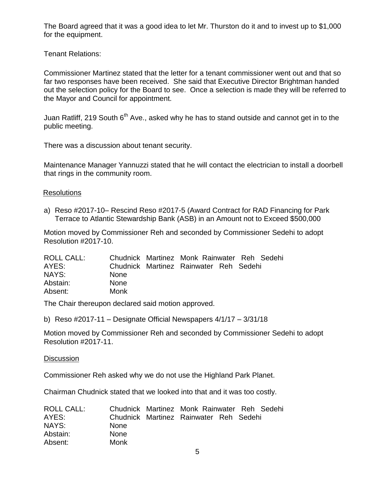The Board agreed that it was a good idea to let Mr. Thurston do it and to invest up to \$1,000 for the equipment.

Tenant Relations:

Commissioner Martinez stated that the letter for a tenant commissioner went out and that so far two responses have been received. She said that Executive Director Brightman handed out the selection policy for the Board to see. Once a selection is made they will be referred to the Mayor and Council for appointment.

Juan Ratliff, 219 South  $6<sup>th</sup>$  Ave., asked why he has to stand outside and cannot get in to the public meeting.

There was a discussion about tenant security.

Maintenance Manager Yannuzzi stated that he will contact the electrician to install a doorbell that rings in the community room.

## Resolutions

a) Reso #2017-10– Rescind Reso #2017-5 (Award Contract for RAD Financing for Park Terrace to Atlantic Stewardship Bank (ASB) in an Amount not to Exceed \$500,000

Motion moved by Commissioner Reh and seconded by Commissioner Sedehi to adopt Resolution #2017-10.

| ROLL CALL: |             | Chudnick Martinez Monk Rainwater Reh Sedehi |  |  |
|------------|-------------|---------------------------------------------|--|--|
| AYES:      |             | Chudnick Martinez Rainwater Reh Sedehi      |  |  |
| NAYS:      | <b>None</b> |                                             |  |  |
| Abstain:   | <b>None</b> |                                             |  |  |
| Absent:    | Monk        |                                             |  |  |

The Chair thereupon declared said motion approved.

b) Reso #2017-11 – Designate Official Newspapers 4/1/17 – 3/31/18

Motion moved by Commissioner Reh and seconded by Commissioner Sedehi to adopt Resolution #2017-11.

#### **Discussion**

Commissioner Reh asked why we do not use the Highland Park Planet.

Chairman Chudnick stated that we looked into that and it was too costly.

| ROLL CALL: |             | Chudnick Martinez Monk Rainwater Reh Sedehi |  |  |
|------------|-------------|---------------------------------------------|--|--|
| AYES:      |             | Chudnick Martinez Rainwater Reh Sedehi      |  |  |
| NAYS:      | <b>None</b> |                                             |  |  |
| Abstain:   | <b>None</b> |                                             |  |  |
| Absent:    | Monk        |                                             |  |  |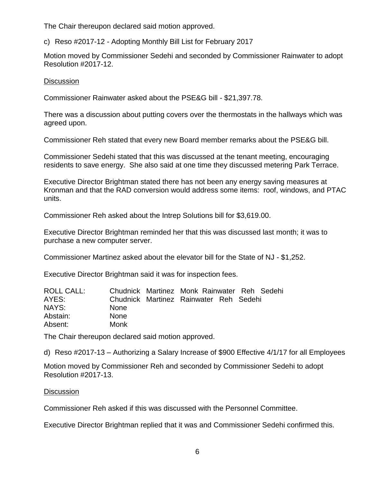The Chair thereupon declared said motion approved.

c) Reso #2017-12 - Adopting Monthly Bill List for February 2017

Motion moved by Commissioner Sedehi and seconded by Commissioner Rainwater to adopt Resolution #2017-12.

## **Discussion**

Commissioner Rainwater asked about the PSE&G bill - \$21,397.78.

There was a discussion about putting covers over the thermostats in the hallways which was agreed upon.

Commissioner Reh stated that every new Board member remarks about the PSE&G bill.

Commissioner Sedehi stated that this was discussed at the tenant meeting, encouraging residents to save energy. She also said at one time they discussed metering Park Terrace.

Executive Director Brightman stated there has not been any energy saving measures at Kronman and that the RAD conversion would address some items: roof, windows, and PTAC units.

Commissioner Reh asked about the Intrep Solutions bill for \$3,619.00.

Executive Director Brightman reminded her that this was discussed last month; it was to purchase a new computer server.

Commissioner Martinez asked about the elevator bill for the State of NJ - \$1,252.

Executive Director Brightman said it was for inspection fees.

| ROLL CALL: |             | Chudnick Martinez Monk Rainwater Reh Sedehi |  |  |
|------------|-------------|---------------------------------------------|--|--|
| AYES:      |             | Chudnick Martinez Rainwater Reh Sedehi      |  |  |
| NAYS:      | <b>None</b> |                                             |  |  |
| Abstain:   | <b>None</b> |                                             |  |  |
| Absent:    | Monk        |                                             |  |  |

The Chair thereupon declared said motion approved.

d) Reso #2017-13 – Authorizing a Salary Increase of \$900 Effective 4/1/17 for all Employees

Motion moved by Commissioner Reh and seconded by Commissioner Sedehi to adopt Resolution #2017-13.

# **Discussion**

Commissioner Reh asked if this was discussed with the Personnel Committee.

Executive Director Brightman replied that it was and Commissioner Sedehi confirmed this.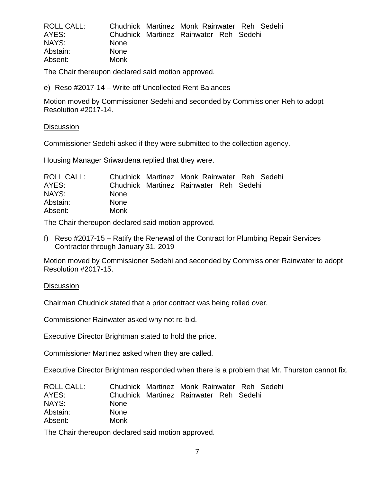| <b>ROLL CALL:</b> |             | Chudnick Martinez Monk Rainwater Reh Sedehi |  |  |
|-------------------|-------------|---------------------------------------------|--|--|
| AYES:             |             | Chudnick Martinez Rainwater Reh Sedehi      |  |  |
| NAYS:             | <b>None</b> |                                             |  |  |
| Abstain:          | <b>None</b> |                                             |  |  |
| Absent:           | Monk        |                                             |  |  |

The Chair thereupon declared said motion approved.

e) Reso #2017-14 – Write-off Uncollected Rent Balances

Motion moved by Commissioner Sedehi and seconded by Commissioner Reh to adopt Resolution #2017-14.

#### **Discussion**

Commissioner Sedehi asked if they were submitted to the collection agency.

Housing Manager Sriwardena replied that they were.

| ROLL CALL: |             | Chudnick Martinez Monk Rainwater Reh Sedehi |  |  |
|------------|-------------|---------------------------------------------|--|--|
| AYES:      |             | Chudnick Martinez Rainwater Reh Sedehi      |  |  |
| NAYS:      | <b>None</b> |                                             |  |  |
| Abstain:   | <b>None</b> |                                             |  |  |
| Absent:    | Monk        |                                             |  |  |

The Chair thereupon declared said motion approved.

f) Reso #2017-15 – Ratify the Renewal of the Contract for Plumbing Repair Services Contractor through January 31, 2019

Motion moved by Commissioner Sedehi and seconded by Commissioner Rainwater to adopt Resolution #2017-15.

#### **Discussion**

Chairman Chudnick stated that a prior contract was being rolled over.

Commissioner Rainwater asked why not re-bid.

Executive Director Brightman stated to hold the price.

Commissioner Martinez asked when they are called.

Executive Director Brightman responded when there is a problem that Mr. Thurston cannot fix.

| ROLL CALL: |             | Chudnick Martinez Monk Rainwater Reh Sedehi |  |  |
|------------|-------------|---------------------------------------------|--|--|
| AYES:      |             | Chudnick Martinez Rainwater Reh Sedehi      |  |  |
| NAYS:      | <b>None</b> |                                             |  |  |
| Abstain:   | <b>None</b> |                                             |  |  |
| Absent:    | Monk        |                                             |  |  |

The Chair thereupon declared said motion approved.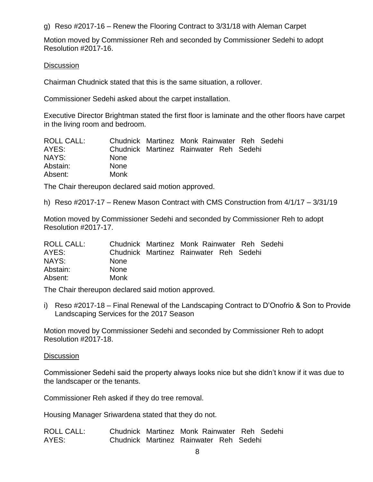g) Reso #2017-16 – Renew the Flooring Contract to 3/31/18 with Aleman Carpet

Motion moved by Commissioner Reh and seconded by Commissioner Sedehi to adopt Resolution #2017-16.

## Discussion

Chairman Chudnick stated that this is the same situation, a rollover.

Commissioner Sedehi asked about the carpet installation.

Executive Director Brightman stated the first floor is laminate and the other floors have carpet in the living room and bedroom.

| ROLL CALL: |             | Chudnick Martinez Monk Rainwater Reh Sedehi |  |  |
|------------|-------------|---------------------------------------------|--|--|
| AYES:      |             | Chudnick Martinez Rainwater Reh Sedehi      |  |  |
| NAYS:      | <b>None</b> |                                             |  |  |
| Abstain:   | <b>None</b> |                                             |  |  |
| Absent:    | Monk        |                                             |  |  |

The Chair thereupon declared said motion approved.

h) Reso #2017-17 – Renew Mason Contract with CMS Construction from 4/1/17 – 3/31/19

Motion moved by Commissioner Sedehi and seconded by Commissioner Reh to adopt Resolution #2017-17.

| ROLL CALL: |             | Chudnick Martinez Monk Rainwater Reh Sedehi |  |  |
|------------|-------------|---------------------------------------------|--|--|
| AYES:      |             | Chudnick Martinez Rainwater Reh Sedehi      |  |  |
| NAYS:      | <b>None</b> |                                             |  |  |
| Abstain:   | <b>None</b> |                                             |  |  |
| Absent:    | Monk        |                                             |  |  |

The Chair thereupon declared said motion approved.

i) Reso #2017-18 – Final Renewal of the Landscaping Contract to D'Onofrio & Son to Provide Landscaping Services for the 2017 Season

Motion moved by Commissioner Sedehi and seconded by Commissioner Reh to adopt Resolution #2017-18.

#### **Discussion**

Commissioner Sedehi said the property always looks nice but she didn't know if it was due to the landscaper or the tenants.

Commissioner Reh asked if they do tree removal.

Housing Manager Sriwardena stated that they do not.

ROLL CALL: Chudnick Martinez Monk Rainwater Reh Sedehi AYES: Chudnick Martinez Rainwater Reh Sedehi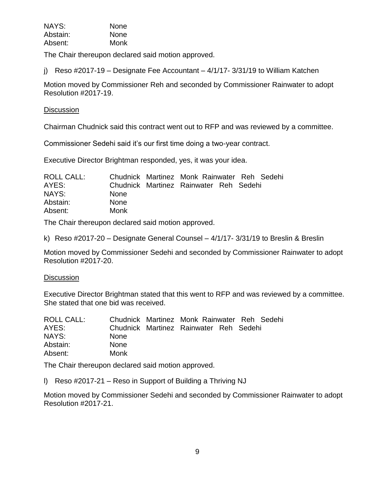| NAYS:    | <b>None</b> |
|----------|-------------|
| Abstain: | <b>None</b> |
| Absent:  | Monk        |

The Chair thereupon declared said motion approved.

j) Reso  $\#2017-19$  – Designate Fee Accountant –  $4/1/17-3/31/19$  to William Katchen

Motion moved by Commissioner Reh and seconded by Commissioner Rainwater to adopt Resolution #2017-19.

## **Discussion**

Chairman Chudnick said this contract went out to RFP and was reviewed by a committee.

Commissioner Sedehi said it's our first time doing a two-year contract.

Executive Director Brightman responded, yes, it was your idea.

| ROLL CALL: |             | Chudnick Martinez Monk Rainwater Reh Sedehi |  |  |
|------------|-------------|---------------------------------------------|--|--|
| AYES:      |             | Chudnick Martinez Rainwater Reh Sedehi      |  |  |
| NAYS:      | <b>None</b> |                                             |  |  |
| Abstain:   | <b>None</b> |                                             |  |  |
| Absent:    | Monk        |                                             |  |  |

The Chair thereupon declared said motion approved.

k) Reso #2017-20 – Designate General Counsel – 4/1/17- 3/31/19 to Breslin & Breslin

Motion moved by Commissioner Sedehi and seconded by Commissioner Rainwater to adopt Resolution #2017-20.

#### **Discussion**

Executive Director Brightman stated that this went to RFP and was reviewed by a committee. She stated that one bid was received.

| ROLL CALL: |             | Chudnick Martinez Monk Rainwater Reh Sedehi |  |  |
|------------|-------------|---------------------------------------------|--|--|
| AYES:      |             | Chudnick Martinez Rainwater Reh Sedehi      |  |  |
| NAYS:      | <b>None</b> |                                             |  |  |
| Abstain:   | <b>None</b> |                                             |  |  |
| Absent:    | Monk        |                                             |  |  |

The Chair thereupon declared said motion approved.

l) Reso #2017-21 – Reso in Support of Building a Thriving NJ

Motion moved by Commissioner Sedehi and seconded by Commissioner Rainwater to adopt Resolution #2017-21.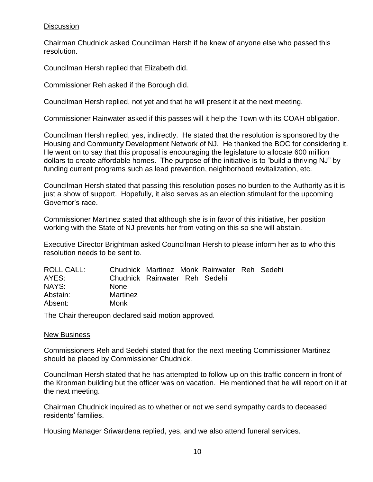# **Discussion**

Chairman Chudnick asked Councilman Hersh if he knew of anyone else who passed this resolution.

Councilman Hersh replied that Elizabeth did.

Commissioner Reh asked if the Borough did.

Councilman Hersh replied, not yet and that he will present it at the next meeting.

Commissioner Rainwater asked if this passes will it help the Town with its COAH obligation.

Councilman Hersh replied, yes, indirectly. He stated that the resolution is sponsored by the Housing and Community Development Network of NJ. He thanked the BOC for considering it. He went on to say that this proposal is encouraging the legislature to allocate 600 million dollars to create affordable homes. The purpose of the initiative is to "build a thriving NJ" by funding current programs such as lead prevention, neighborhood revitalization, etc.

Councilman Hersh stated that passing this resolution poses no burden to the Authority as it is just a show of support. Hopefully, it also serves as an election stimulant for the upcoming Governor's race.

Commissioner Martinez stated that although she is in favor of this initiative, her position working with the State of NJ prevents her from voting on this so she will abstain.

Executive Director Brightman asked Councilman Hersh to please inform her as to who this resolution needs to be sent to.

| <b>None</b><br>Martinez<br>Monk | Chudnick Rainwater Reh Sedehi | Chudnick Martinez Monk Rainwater Reh Sedehi |
|---------------------------------|-------------------------------|---------------------------------------------|

The Chair thereupon declared said motion approved.

#### New Business

Commissioners Reh and Sedehi stated that for the next meeting Commissioner Martinez should be placed by Commissioner Chudnick.

Councilman Hersh stated that he has attempted to follow-up on this traffic concern in front of the Kronman building but the officer was on vacation. He mentioned that he will report on it at the next meeting.

Chairman Chudnick inquired as to whether or not we send sympathy cards to deceased residents' families.

Housing Manager Sriwardena replied, yes, and we also attend funeral services.